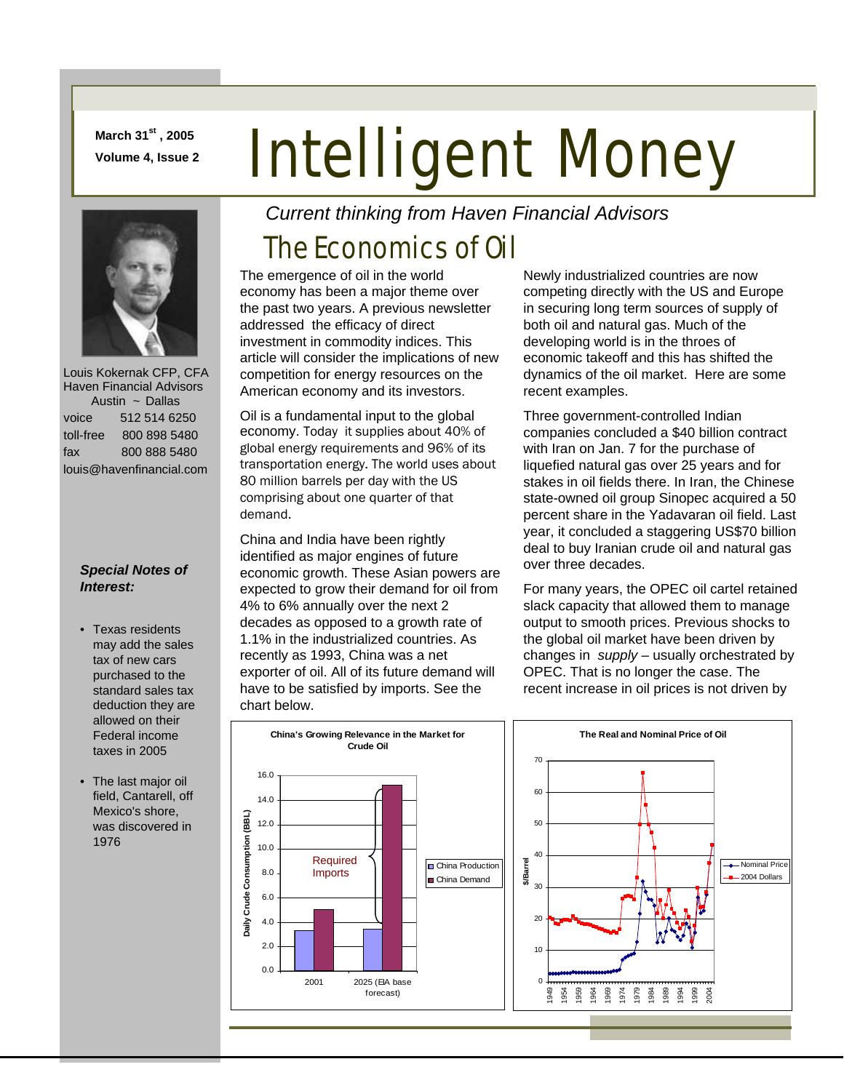**March 31st , 2005** 

# March 31<sup>x</sup>, 2005<br>Volume 4, Issue 2 **Intelligent Money**



 Louis Kokernak CFP, CFA Haven Financial Advisors Austin ~ Dallas voice 512 514 6250 toll-free 800 898 5480 fax 800 888 5480 louis@havenfinancial.com

#### *Special Notes of Interest:*

- Texas residents may add the sales tax of new cars purchased to the standard sales tax deduction they are allowed on their Federal income taxes in 2005
- The last major oil field, Cantarell, off Mexico's shore, was discovered in 1976

**Daily Crude Consumption (BBL)**

yiik

Crude Consumption (BBL)

*Current thinking from Haven Financial Advisors* 

## The Economics of Oil

The emergence of oil in the world economy has been a major theme over the past two years. A previous newsletter addressed the efficacy of direct investment in commodity indices. This article will consider the implications of new competition for energy resources on the American economy and its investors.

Oil is a fundamental input to the global economy. Today it supplies about 40% of global energy requirements and 96% of its transportation energy. The world uses about 80 million barrels per day with the US comprising about one quarter of that demand.

China and India have been rightly identified as major engines of future economic growth. These Asian powers are expected to grow their demand for oil from 4% to 6% annually over the next 2 decades as opposed to a growth rate of 1.1% in the industrialized countries. As recently as 1993, China was a net exporter of oil. All of its future demand will have to be satisfied by imports. See the chart below.

Newly industrialized countries are now competing directly with the US and Europe in securing long term sources of supply of both oil and natural gas. Much of the developing world is in the throes of economic takeoff and this has shifted the dynamics of the oil market. Here are some recent examples.

Three government-controlled Indian companies concluded a \$40 billion contract with Iran on Jan. 7 for the purchase of liquefied natural gas over 25 years and for stakes in oil fields there. In Iran, the Chinese state-owned oil group Sinopec acquired a 50 percent share in the Yadavaran oil field. Last year, it concluded a staggering US\$70 billion deal to buy Iranian crude oil and natural gas over three decades.

For many years, the OPEC oil cartel retained slack capacity that allowed them to manage output to smooth prices. Previous shocks to the global oil market have been driven by changes in *supply –* usually orchestrated by OPEC. That is no longer the case. The recent increase in oil prices is not driven by